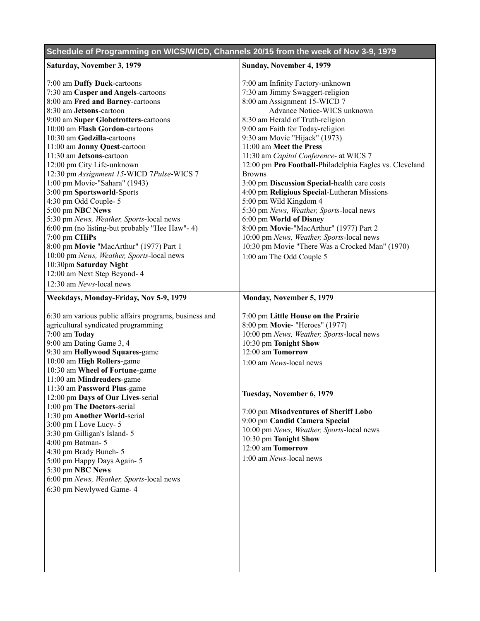|  | Schedule of Programming on WICS/WICD, Channels 20/15 from the week of Nov 3-9, 1979 |
|--|-------------------------------------------------------------------------------------|
|  |                                                                                     |

| Saturday, November 3, 1979                                                                                                                                                                                                                                                                                                                                                                                                                                             | Sunday, November 4, 1979                                                                                                                                                                                                                                                                                                                                                                                                                                                                                              |
|------------------------------------------------------------------------------------------------------------------------------------------------------------------------------------------------------------------------------------------------------------------------------------------------------------------------------------------------------------------------------------------------------------------------------------------------------------------------|-----------------------------------------------------------------------------------------------------------------------------------------------------------------------------------------------------------------------------------------------------------------------------------------------------------------------------------------------------------------------------------------------------------------------------------------------------------------------------------------------------------------------|
| 7:00 am Daffy Duck-cartoons<br>7:30 am Casper and Angels-cartoons<br>8:00 am Fred and Barney-cartoons<br>8:30 am Jetsons-cartoon<br>9:00 am Super Globetrotters-cartoons<br>10:00 am Flash Gordon-cartoons<br>10:30 am Godzilla-cartoons<br>11:00 am Jonny Quest-cartoon<br>11:30 am Jetsons-cartoon<br>12:00 pm City Life-unknown<br>12:30 pm Assignment 15-WICD 7Pulse-WICS 7<br>1:00 pm Movie-"Sahara" (1943)<br>3:00 pm Sportsworld-Sports<br>4:30 pm Odd Couple-5 | 7:00 am Infinity Factory-unknown<br>7:30 am Jimmy Swaggert-religion<br>8:00 am Assignment 15-WICD 7<br>Advance Notice-WICS unknown<br>8:30 am Herald of Truth-religion<br>9:00 am Faith for Today-religion<br>9:30 am Movie "Hijack" (1973)<br>11:00 am Meet the Press<br>11:30 am Capitol Conference- at WICS 7<br>12:00 pm Pro Football-Philadelphia Eagles vs. Cleveland<br><b>Browns</b><br>3:00 pm Discussion Special-health care costs<br>4:00 pm Religious Special-Lutheran Missions<br>5:00 pm Wild Kingdom 4 |
| 5:00 pm NBC News<br>5:30 pm News, Weather, Sports-local news<br>6:00 pm (no listing-but probably "Hee Haw"- 4)<br>7:00 pm CHiPs<br>8:00 pm Movie "MacArthur" (1977) Part 1<br>10:00 pm News, Weather, Sports-local news<br>10:30pm Saturday Night<br>12:00 am Next Step Beyond- 4<br>12:30 am News-local news                                                                                                                                                          | 5:30 pm News, Weather, Sports-local news<br>6:00 pm World of Disney<br>8:00 pm Movie-"MacArthur" (1977) Part 2<br>10:00 pm News, Weather, Sports-local news<br>10:30 pm Movie "There Was a Crocked Man" (1970)<br>1:00 am The Odd Couple 5                                                                                                                                                                                                                                                                            |
| Weekdays, Monday-Friday, Nov 5-9, 1979<br>6:30 am various public affairs programs, business and<br>agricultural syndicated programming<br>7:00 am Today<br>9:00 am Dating Game 3, 4<br>9:30 am Hollywood Squares-game<br>10:00 am High Rollers-game<br>10:30 am Wheel of Fortune-game<br>11:00 am Mindreaders-game<br>11:30 am Password Plus-game<br>12:00 pm Days of Our Lives-serial<br>1:00 pm The Doctors-serial                                                   | Monday, November 5, 1979<br>7:00 pm Little House on the Prairie<br>8:00 pm Movie- "Heroes" (1977)<br>10:00 pm News, Weather, Sports-local news<br>10:30 pm Tonight Show<br>12:00 am Tomorrow<br>1:00 am News-local news<br>Tuesday, November 6, 1979                                                                                                                                                                                                                                                                  |
| 1:30 pm Another World-serial<br>3:00 pm I Love Lucy-5<br>3:30 pm Gilligan's Island-5<br>4:00 pm Batman-5<br>4:30 pm Brady Bunch-5<br>5:00 pm Happy Days Again-5<br>5:30 pm NBC News<br>6:00 pm News, Weather, Sports-local news<br>6:30 pm Newlywed Game- 4                                                                                                                                                                                                            | 7:00 pm Misadventures of Sheriff Lobo<br>9:00 pm Candid Camera Special<br>10:00 pm News, Weather, Sports-local news<br>10:30 pm Tonight Show<br>12:00 am Tomorrow<br>1:00 am News-local news                                                                                                                                                                                                                                                                                                                          |